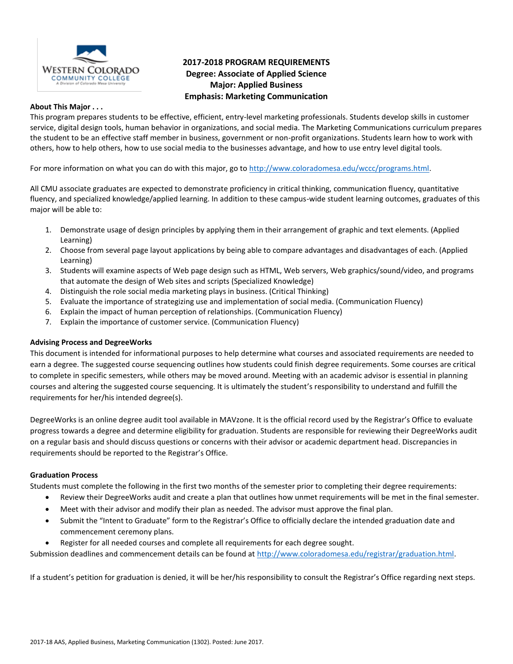

# **2017-2018 PROGRAM REQUIREMENTS Degree: Associate of Applied Science Major: Applied Business Emphasis: Marketing Communication**

#### **About This Major . . .**

This program prepares students to be effective, efficient, entry-level marketing professionals. Students develop skills in customer service, digital design tools, human behavior in organizations, and social media. The Marketing Communications curriculum prepares the student to be an effective staff member in business, government or non-profit organizations. Students learn how to work with others, how to help others, how to use social media to the businesses advantage, and how to use entry level digital tools.

For more information on what you can do with this major, go t[o http://www.coloradomesa.edu/wccc/programs.html.](http://www.coloradomesa.edu/wccc/programs.html)

All CMU associate graduates are expected to demonstrate proficiency in critical thinking, communication fluency, quantitative fluency, and specialized knowledge/applied learning. In addition to these campus-wide student learning outcomes, graduates of this major will be able to:

- 1. Demonstrate usage of design principles by applying them in their arrangement of graphic and text elements. (Applied Learning)
- 2. Choose from several page layout applications by being able to compare advantages and disadvantages of each. (Applied Learning)
- 3. Students will examine aspects of Web page design such as HTML, Web servers, Web graphics/sound/video, and programs that automate the design of Web sites and scripts (Specialized Knowledge)
- 4. Distinguish the role social media marketing plays in business. (Critical Thinking)
- 5. Evaluate the importance of strategizing use and implementation of social media. (Communication Fluency)
- 6. Explain the impact of human perception of relationships. (Communication Fluency)
- 7. Explain the importance of customer service. (Communication Fluency)

# **Advising Process and DegreeWorks**

This document is intended for informational purposes to help determine what courses and associated requirements are needed to earn a degree. The suggested course sequencing outlines how students could finish degree requirements. Some courses are critical to complete in specific semesters, while others may be moved around. Meeting with an academic advisor is essential in planning courses and altering the suggested course sequencing. It is ultimately the student's responsibility to understand and fulfill the requirements for her/his intended degree(s).

DegreeWorks is an online degree audit tool available in MAVzone. It is the official record used by the Registrar's Office to evaluate progress towards a degree and determine eligibility for graduation. Students are responsible for reviewing their DegreeWorks audit on a regular basis and should discuss questions or concerns with their advisor or academic department head. Discrepancies in requirements should be reported to the Registrar's Office.

# **Graduation Process**

Students must complete the following in the first two months of the semester prior to completing their degree requirements:

- Review their DegreeWorks audit and create a plan that outlines how unmet requirements will be met in the final semester.
- Meet with their advisor and modify their plan as needed. The advisor must approve the final plan.
- Submit the "Intent to Graduate" form to the Registrar's Office to officially declare the intended graduation date and commencement ceremony plans.
- Register for all needed courses and complete all requirements for each degree sought.

Submission deadlines and commencement details can be found at [http://www.coloradomesa.edu/registrar/graduation.html.](http://www.coloradomesa.edu/registrar/graduation.html)

If a student's petition for graduation is denied, it will be her/his responsibility to consult the Registrar's Office regarding next steps.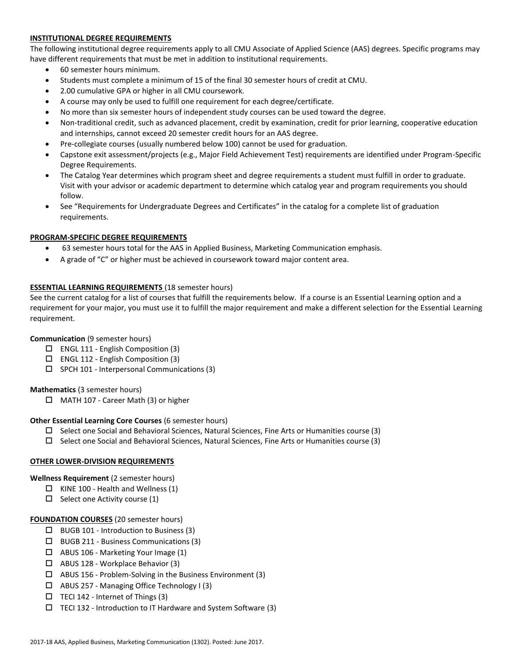# **INSTITUTIONAL DEGREE REQUIREMENTS**

The following institutional degree requirements apply to all CMU Associate of Applied Science (AAS) degrees. Specific programs may have different requirements that must be met in addition to institutional requirements.

- 60 semester hours minimum.
- Students must complete a minimum of 15 of the final 30 semester hours of credit at CMU.
- 2.00 cumulative GPA or higher in all CMU coursework.
- A course may only be used to fulfill one requirement for each degree/certificate.
- No more than six semester hours of independent study courses can be used toward the degree.
- Non-traditional credit, such as advanced placement, credit by examination, credit for prior learning, cooperative education and internships, cannot exceed 20 semester credit hours for an AAS degree.
- Pre-collegiate courses (usually numbered below 100) cannot be used for graduation.
- Capstone exit assessment/projects (e.g., Major Field Achievement Test) requirements are identified under Program-Specific Degree Requirements.
- The Catalog Year determines which program sheet and degree requirements a student must fulfill in order to graduate. Visit with your advisor or academic department to determine which catalog year and program requirements you should follow.
- See "Requirements for Undergraduate Degrees and Certificates" in the catalog for a complete list of graduation requirements.

### **PROGRAM-SPECIFIC DEGREE REQUIREMENTS**

- 63 semester hours total for the AAS in Applied Business, Marketing Communication emphasis.
- A grade of "C" or higher must be achieved in coursework toward major content area.

### **ESSENTIAL LEARNING REQUIREMENTS** (18 semester hours)

See the current catalog for a list of courses that fulfill the requirements below. If a course is an Essential Learning option and a requirement for your major, you must use it to fulfill the major requirement and make a different selection for the Essential Learning requirement.

# **Communication** (9 semester hours)

- ENGL 111 English Composition (3)
- $\square$  ENGL 112 English Composition (3)
- $\square$  SPCH 101 Interpersonal Communications (3)

#### **Mathematics** (3 semester hours)

□ MATH 107 - Career Math (3) or higher

#### **Other Essential Learning Core Courses** (6 semester hours)

- $\Box$  Select one Social and Behavioral Sciences, Natural Sciences, Fine Arts or Humanities course (3)
- $\square$  Select one Social and Behavioral Sciences, Natural Sciences, Fine Arts or Humanities course (3)

# **OTHER LOWER-DIVISION REQUIREMENTS**

#### **Wellness Requirement** (2 semester hours)

- $\Box$  KINE 100 Health and Wellness (1)
- $\Box$  Select one Activity course (1)

#### **FOUNDATION COURSES** (20 semester hours)

- $\Box$  BUGB 101 Introduction to Business (3)
- $\Box$  BUGB 211 Business Communications (3)
- ABUS 106 Marketing Your Image (1)
- ABUS 128 Workplace Behavior (3)
- $\Box$  ABUS 156 Problem-Solving in the Business Environment (3)
- ABUS 257 Managing Office Technology I (3)
- $\Box$  TECI 142 Internet of Things (3)
- $\Box$  TECI 132 Introduction to IT Hardware and System Software (3)